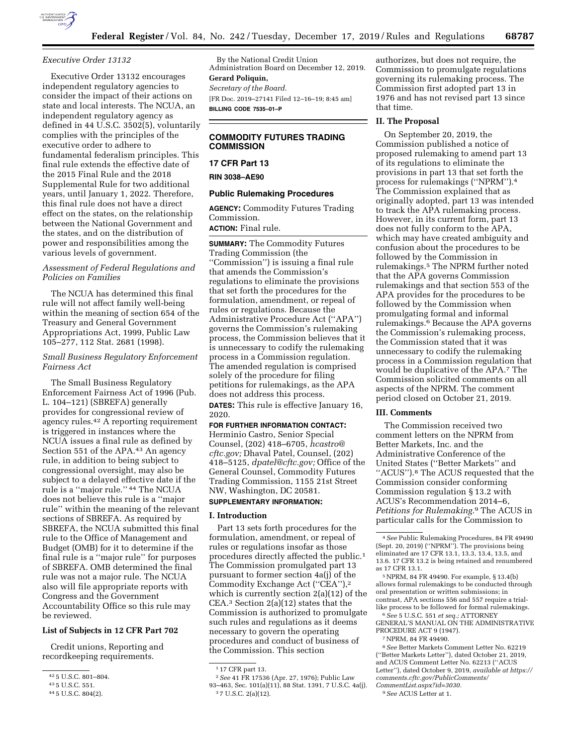

#### *Executive Order 13132*

Executive Order 13132 encourages independent regulatory agencies to consider the impact of their actions on state and local interests. The NCUA, an independent regulatory agency as defined in 44 U.S.C. 3502(5), voluntarily complies with the principles of the executive order to adhere to fundamental federalism principles. This final rule extends the effective date of the 2015 Final Rule and the 2018 Supplemental Rule for two additional years, until January 1, 2022. Therefore, this final rule does not have a direct effect on the states, on the relationship between the National Government and the states, and on the distribution of power and responsibilities among the various levels of government.

# *Assessment of Federal Regulations and Policies on Families*

The NCUA has determined this final rule will not affect family well-being within the meaning of section 654 of the Treasury and General Government Appropriations Act, 1999, Public Law 105–277, 112 Stat. 2681 (1998).

# *Small Business Regulatory Enforcement Fairness Act*

The Small Business Regulatory Enforcement Fairness Act of 1996 (Pub. L. 104–121) (SBREFA) generally provides for congressional review of agency rules.42 A reporting requirement is triggered in instances where the NCUA issues a final rule as defined by Section 551 of the APA.43 An agency rule, in addition to being subject to congressional oversight, may also be subject to a delayed effective date if the rule is a ''major rule.'' 44 The NCUA does not believe this rule is a ''major rule'' within the meaning of the relevant sections of SBREFA. As required by SBREFA, the NCUA submitted this final rule to the Office of Management and Budget (OMB) for it to determine if the final rule is a ''major rule'' for purposes of SBREFA. OMB determined the final rule was not a major rule. The NCUA also will file appropriate reports with Congress and the Government Accountability Office so this rule may be reviewed.

# **List of Subjects in 12 CFR Part 702**

Credit unions, Reporting and recordkeeping requirements.

By the National Credit Union Administration Board on December 12, 2019. **Gerard Poliquin,**  *Secretary of the Board.*  [FR Doc. 2019–27141 Filed 12–16–19; 8:45 am]

**BILLING CODE 7535–01–P** 

# **COMMODITY FUTURES TRADING COMMISSION**

# **17 CFR Part 13**

**RIN 3038–AE90** 

### **Public Rulemaking Procedures**

**AGENCY:** Commodity Futures Trading Commission. **ACTION:** Final rule.

**SUMMARY:** The Commodity Futures

Trading Commission (the ''Commission'') is issuing a final rule that amends the Commission's regulations to eliminate the provisions that set forth the procedures for the formulation, amendment, or repeal of rules or regulations. Because the Administrative Procedure Act (''APA'') governs the Commission's rulemaking process, the Commission believes that it is unnecessary to codify the rulemaking process in a Commission regulation. The amended regulation is comprised solely of the procedure for filing petitions for rulemakings, as the APA does not address this process. **DATES:** This rule is effective January 16, 2020.

### **FOR FURTHER INFORMATION CONTACT:**

Herminio Castro, Senior Special Counsel, (202) 418–6705, *[hcastro@](mailto:hcastro@cftc.gov) [cftc.gov;](mailto:hcastro@cftc.gov)* Dhaval Patel, Counsel, (202) 418–5125, *[dpatel@cftc.gov;](mailto:dpatel@cftc.gov)* Office of the General Counsel, Commodity Futures Trading Commission, 1155 21st Street NW, Washington, DC 20581. **SUPPLEMENTARY INFORMATION:** 

#### **I. Introduction**

Part 13 sets forth procedures for the formulation, amendment, or repeal of rules or regulations insofar as those procedures directly affected the public.1 The Commission promulgated part 13 pursuant to former section 4a(j) of the Commodity Exchange Act (''CEA''),2 which is currently section 2(a)(12) of the CEA.3 Section 2(a)(12) states that the Commission is authorized to promulgate such rules and regulations as it deems necessary to govern the operating procedures and conduct of business of the Commission. This section

authorizes, but does not require, the Commission to promulgate regulations governing its rulemaking process. The Commission first adopted part 13 in 1976 and has not revised part 13 since that time.

## **II. The Proposal**

On September 20, 2019, the Commission published a notice of proposed rulemaking to amend part 13 of its regulations to eliminate the provisions in part 13 that set forth the process for rulemakings (''NPRM'').4 The Commission explained that as originally adopted, part 13 was intended to track the APA rulemaking process. However, in its current form, part 13 does not fully conform to the APA, which may have created ambiguity and confusion about the procedures to be followed by the Commission in rulemakings.5 The NPRM further noted that the APA governs Commission rulemakings and that section 553 of the APA provides for the procedures to be followed by the Commission when promulgating formal and informal rulemakings.6 Because the APA governs the Commission's rulemaking process, the Commission stated that it was unnecessary to codify the rulemaking process in a Commission regulation that would be duplicative of the APA.7 The Commission solicited comments on all aspects of the NPRM. The comment period closed on October 21, 2019.

#### **III. Comments**

The Commission received two comment letters on the NPRM from Better Markets, Inc. and the Administrative Conference of the United States (''Better Markets'' and ''ACUS'').8 The ACUS requested that the Commission consider conforming Commission regulation § 13.2 with ACUS's Recommendation 2014–6, *Petitions for Rulemaking.*9 The ACUS in particular calls for the Commission to

5NPRM, 84 FR 49490. For example, § 13.4(b) allows formal rulemakings to be conducted through oral presentation or written submissions; in contrast, APA sections 556 and 557 require a triallike process to be followed for formal rulemakings.

6*See* 5 U.S.C. 551 *et seq.;* ATTORNEY GENERAL'S MANUAL ON THE ADMINISTRATIVE PROCEDURE ACT 9 (1947).

<sup>42</sup> 5 U.S.C. 801–804.

<sup>43</sup> 5 U.S.C. 551.

<sup>44</sup> 5 U.S.C. 804(2).

<sup>1</sup> 17 CFR part 13.

<sup>2</sup>*See* 41 FR 17536 (Apr. 27, 1976); Public Law 93–463, Sec. 101(a)(11), 88 Stat. 1391, 7 U.S.C. 4a(j). 3 7 U.S.C. 2(a)(12).

<sup>4</sup>*See* Public Rulemaking Procedures, 84 FR 49490 (Sept. 20, 2019) (''NPRM''). The provisions being eliminated are 17 CFR 13.1, 13.3, 13.4, 13.5, and 13.6. 17 CFR 13.2 is being retained and renumbered as 17 CFR 13.1.

<sup>7</sup>NPRM, 84 FR 49490.

<sup>8</sup>*See* Better Markets Comment Letter No. 62219 (''Better Markets Letter''), dated October 21, 2019, and ACUS Comment Letter No. 62213 (''ACUS Letter''), dated October 9, 2019, *available at [https://](https://comments.cftc.gov/PublicComments/CommentList.aspx?id=3030) [comments.cftc.gov/PublicComments/](https://comments.cftc.gov/PublicComments/CommentList.aspx?id=3030)  [CommentList.aspx?id=3030.](https://comments.cftc.gov/PublicComments/CommentList.aspx?id=3030)* 

<sup>9</sup>*See* ACUS Letter at 1.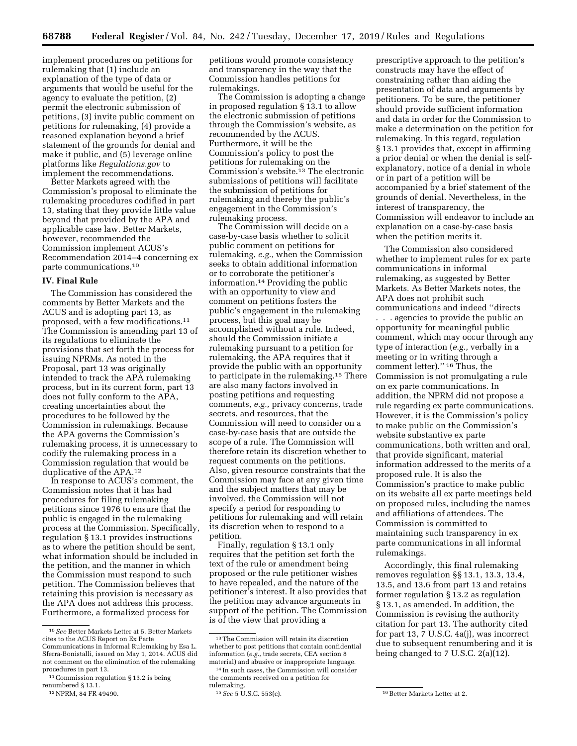implement procedures on petitions for rulemaking that (1) include an explanation of the type of data or arguments that would be useful for the agency to evaluate the petition, (2) permit the electronic submission of petitions, (3) invite public comment on petitions for rulemaking, (4) provide a reasoned explanation beyond a brief statement of the grounds for denial and make it public, and (5) leverage online platforms like *Regulations.gov* to implement the recommendations.

Better Markets agreed with the Commission's proposal to eliminate the rulemaking procedures codified in part 13, stating that they provide little value beyond that provided by the APA and applicable case law. Better Markets, however, recommended the Commission implement ACUS's Recommendation 2014–4 concerning ex parte communications.10

#### **IV. Final Rule**

The Commission has considered the comments by Better Markets and the ACUS and is adopting part 13, as proposed, with a few modifications.11 The Commission is amending part 13 of its regulations to eliminate the provisions that set forth the process for issuing NPRMs. As noted in the Proposal, part 13 was originally intended to track the APA rulemaking process, but in its current form, part 13 does not fully conform to the APA, creating uncertainties about the procedures to be followed by the Commission in rulemakings. Because the APA governs the Commission's rulemaking process, it is unnecessary to codify the rulemaking process in a Commission regulation that would be duplicative of the APA.12

In response to ACUS's comment, the Commission notes that it has had procedures for filing rulemaking petitions since 1976 to ensure that the public is engaged in the rulemaking process at the Commission. Specifically, regulation § 13.1 provides instructions as to where the petition should be sent, what information should be included in the petition, and the manner in which the Commission must respond to such petition. The Commission believes that retaining this provision is necessary as the APA does not address this process. Furthermore, a formalized process for

petitions would promote consistency and transparency in the way that the Commission handles petitions for rulemakings.

The Commission is adopting a change in proposed regulation § 13.1 to allow the electronic submission of petitions through the Commission's website, as recommended by the ACUS. Furthermore, it will be the Commission's policy to post the petitions for rulemaking on the Commission's website.<sup>13</sup> The electronic submissions of petitions will facilitate the submission of petitions for rulemaking and thereby the public's engagement in the Commission's rulemaking process.

The Commission will decide on a case-by-case basis whether to solicit public comment on petitions for rulemaking, *e.g.,* when the Commission seeks to obtain additional information or to corroborate the petitioner's information.14 Providing the public with an opportunity to view and comment on petitions fosters the public's engagement in the rulemaking process, but this goal may be accomplished without a rule. Indeed, should the Commission initiate a rulemaking pursuant to a petition for rulemaking, the APA requires that it provide the public with an opportunity to participate in the rulemaking.15 There are also many factors involved in posting petitions and requesting comments, *e.g.,* privacy concerns, trade secrets, and resources, that the Commission will need to consider on a case-by-case basis that are outside the scope of a rule. The Commission will therefore retain its discretion whether to request comments on the petitions. Also, given resource constraints that the Commission may face at any given time and the subject matters that may be involved, the Commission will not specify a period for responding to petitions for rulemaking and will retain its discretion when to respond to a petition.

Finally, regulation § 13.1 only requires that the petition set forth the text of the rule or amendment being proposed or the rule petitioner wishes to have repealed, and the nature of the petitioner's interest. It also provides that the petition may advance arguments in support of the petition. The Commission is of the view that providing a

prescriptive approach to the petition's constructs may have the effect of constraining rather than aiding the presentation of data and arguments by petitioners. To be sure, the petitioner should provide sufficient information and data in order for the Commission to make a determination on the petition for rulemaking. In this regard, regulation § 13.1 provides that, except in affirming a prior denial or when the denial is selfexplanatory, notice of a denial in whole or in part of a petition will be accompanied by a brief statement of the grounds of denial. Nevertheless, in the interest of transparency, the Commission will endeavor to include an explanation on a case-by-case basis when the petition merits it.

The Commission also considered whether to implement rules for ex parte communications in informal rulemaking, as suggested by Better Markets. As Better Markets notes, the APA does not prohibit such communications and indeed ''directs . . . agencies to provide the public an opportunity for meaningful public comment, which may occur through any type of interaction (*e.g.,* verbally in a meeting or in writing through a comment letter).'' 16 Thus, the Commission is not promulgating a rule on ex parte communications. In addition, the NPRM did not propose a rule regarding ex parte communications. However, it is the Commission's policy to make public on the Commission's website substantive ex parte communications, both written and oral, that provide significant, material information addressed to the merits of a proposed rule. It is also the Commission's practice to make public on its website all ex parte meetings held on proposed rules, including the names and affiliations of attendees. The Commission is committed to maintaining such transparency in ex parte communications in all informal rulemakings.

Accordingly, this final rulemaking removes regulation §§ 13.1, 13.3, 13.4, 13.5, and 13.6 from part 13 and retains former regulation § 13.2 as regulation § 13.1, as amended. In addition, the Commission is revising the authority citation for part 13. The authority cited for part 13, 7 U.S.C. 4a(j), was incorrect due to subsequent renumbering and it is being changed to 7 U.S.C. 2(a)(12).

<sup>10</sup>*See* Better Markets Letter at 5. Better Markets cites to the ACUS Report on Ex Parte Communications in Informal Rulemaking by Esa L. Sferra-Bonistalli, issued on May 1, 2014. ACUS did not comment on the elimination of the rulemaking procedures in part 13.

<sup>11</sup>Commission regulation § 13.2 is being

renumbered § 13.1.

<sup>12</sup>NPRM, 84 FR 49490.

<sup>13</sup>The Commission will retain its discretion whether to post petitions that contain confidential information (*e.g.,* trade secrets, CEA section 8 material) and abusive or inappropriate language.

<sup>14</sup> In such cases, the Commission will consider the comments received on a petition for rulemaking.

<sup>15</sup>*See* 5 U.S.C. 553(c). 16Better Markets Letter at 2.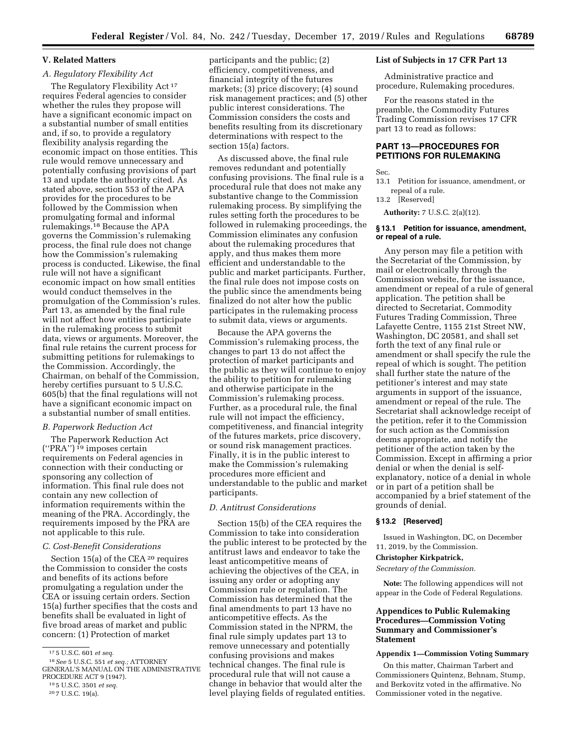### **V. Related Matters**

## *A. Regulatory Flexibility Act*

The Regulatory Flexibility Act 17 requires Federal agencies to consider whether the rules they propose will have a significant economic impact on a substantial number of small entities and, if so, to provide a regulatory flexibility analysis regarding the economic impact on those entities. This rule would remove unnecessary and potentially confusing provisions of part 13 and update the authority cited. As stated above, section 553 of the APA provides for the procedures to be followed by the Commission when promulgating formal and informal rulemakings.18 Because the APA governs the Commission's rulemaking process, the final rule does not change how the Commission's rulemaking process is conducted. Likewise, the final rule will not have a significant economic impact on how small entities would conduct themselves in the promulgation of the Commission's rules. Part 13, as amended by the final rule will not affect how entities participate in the rulemaking process to submit data, views or arguments. Moreover, the final rule retains the current process for submitting petitions for rulemakings to the Commission. Accordingly, the Chairman, on behalf of the Commission, hereby certifies pursuant to 5 U.S.C. 605(b) that the final regulations will not have a significant economic impact on a substantial number of small entities.

### *B. Paperwork Reduction Act*

The Paperwork Reduction Act  $("PRA")$ <sup>19</sup> imposes certain requirements on Federal agencies in connection with their conducting or sponsoring any collection of information. This final rule does not contain any new collection of information requirements within the meaning of the PRA. Accordingly, the requirements imposed by the PRA are not applicable to this rule.

### *C. Cost-Benefit Considerations*

Section 15(a) of the CEA<sup>20</sup> requires the Commission to consider the costs and benefits of its actions before promulgating a regulation under the CEA or issuing certain orders. Section 15(a) further specifies that the costs and benefits shall be evaluated in light of five broad areas of market and public concern: (1) Protection of market

participants and the public; (2) efficiency, competitiveness, and financial integrity of the futures markets; (3) price discovery; (4) sound risk management practices; and (5) other public interest considerations. The Commission considers the costs and benefits resulting from its discretionary determinations with respect to the section 15(a) factors.

As discussed above, the final rule removes redundant and potentially confusing provisions. The final rule is a procedural rule that does not make any substantive change to the Commission rulemaking process. By simplifying the rules setting forth the procedures to be followed in rulemaking proceedings, the Commission eliminates any confusion about the rulemaking procedures that apply, and thus makes them more efficient and understandable to the public and market participants. Further, the final rule does not impose costs on the public since the amendments being finalized do not alter how the public participates in the rulemaking process to submit data, views or arguments.

Because the APA governs the Commission's rulemaking process, the changes to part 13 do not affect the protection of market participants and the public as they will continue to enjoy the ability to petition for rulemaking and otherwise participate in the Commission's rulemaking process. Further, as a procedural rule, the final rule will not impact the efficiency, competitiveness, and financial integrity of the futures markets, price discovery, or sound risk management practices. Finally, it is in the public interest to make the Commission's rulemaking procedures more efficient and understandable to the public and market participants.

### *D. Antitrust Considerations*

Section 15(b) of the CEA requires the Commission to take into consideration the public interest to be protected by the antitrust laws and endeavor to take the least anticompetitive means of achieving the objectives of the CEA, in issuing any order or adopting any Commission rule or regulation. The Commission has determined that the final amendments to part 13 have no anticompetitive effects. As the Commission stated in the NPRM, the final rule simply updates part 13 to remove unnecessary and potentially confusing provisions and makes technical changes. The final rule is procedural rule that will not cause a change in behavior that would alter the level playing fields of regulated entities.

#### **List of Subjects in 17 CFR Part 13**

Administrative practice and procedure, Rulemaking procedures.

For the reasons stated in the preamble, the Commodity Futures Trading Commission revises 17 CFR part 13 to read as follows:

# **PART 13—PROCEDURES FOR PETITIONS FOR RULEMAKING**

Sec.

- 13.1 Petition for issuance, amendment, or repeal of a rule.
- 13.2 [Reserved]

**Authority:** 7 U.S.C. 2(a)(12).

### **§ 13.1 Petition for issuance, amendment, or repeal of a rule.**

Any person may file a petition with the Secretariat of the Commission, by mail or electronically through the Commission website, for the issuance, amendment or repeal of a rule of general application. The petition shall be directed to Secretariat, Commodity Futures Trading Commission, Three Lafayette Centre, 1155 21st Street NW, Washington, DC 20581, and shall set forth the text of any final rule or amendment or shall specify the rule the repeal of which is sought. The petition shall further state the nature of the petitioner's interest and may state arguments in support of the issuance, amendment or repeal of the rule. The Secretariat shall acknowledge receipt of the petition, refer it to the Commission for such action as the Commission deems appropriate, and notify the petitioner of the action taken by the Commission. Except in affirming a prior denial or when the denial is selfexplanatory, notice of a denial in whole or in part of a petition shall be accompanied by a brief statement of the grounds of denial.

### **§ 13.2 [Reserved]**

Issued in Washington, DC, on December 11, 2019, by the Commission.

#### **Christopher Kirkpatrick,**

*Secretary of the Commission.* 

**Note:** The following appendices will not appear in the Code of Federal Regulations.

## **Appendices to Public Rulemaking Procedures—Commission Voting Summary and Commissioner's Statement**

# **Appendix 1—Commission Voting Summary**

On this matter, Chairman Tarbert and Commissioners Quintenz, Behnam, Stump, and Berkovitz voted in the affirmative. No Commissioner voted in the negative.

<sup>17</sup> 5 U.S.C. 601 *et seq.* 

<sup>18</sup>*See* 5 U.S.C. 551 *et seq.;* ATTORNEY GENERAL'S MANUAL ON THE ADMINISTRATIVE PROCEDURE ACT 9 (1947).

<sup>19</sup> 5 U.S.C. 3501 *et seq.* 

<sup>20</sup> 7 U.S.C. 19(a).